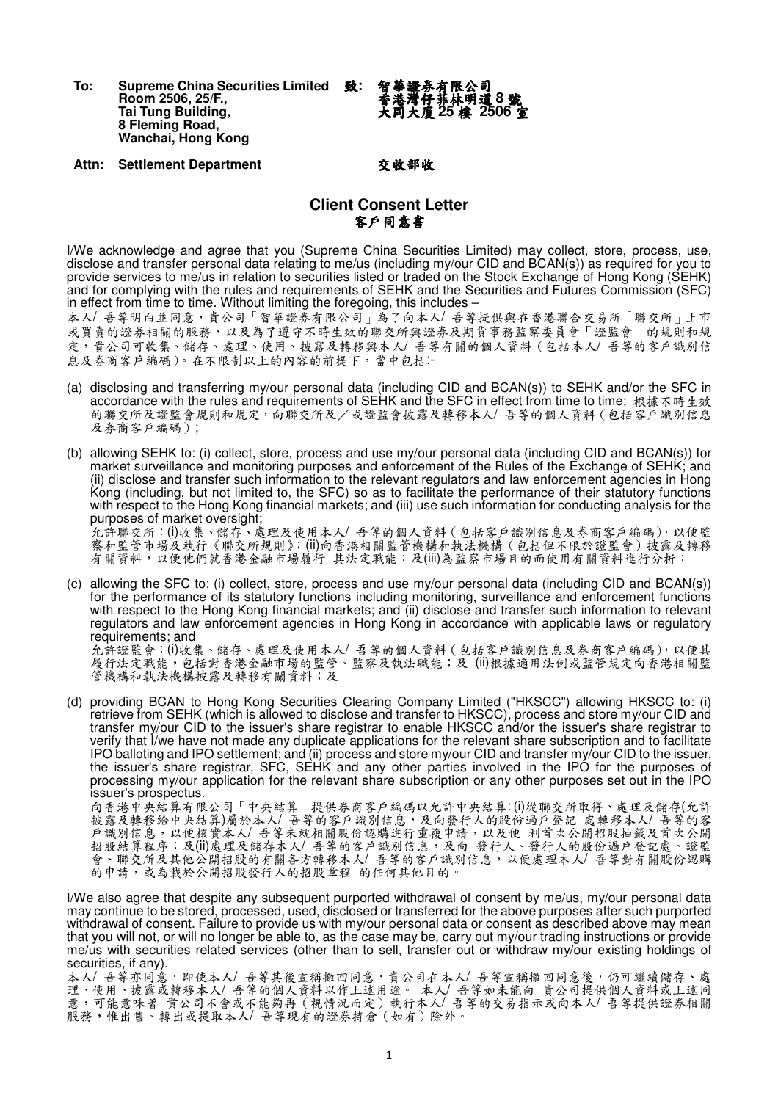**To:** Supreme China Securities Limited 致:<br>Room 2506, 25/F., Supreme China Securities Limited 致: 智華證券有限公司<br>Room 2506, 25/F., 香港灣仔菲林明道 8 號<br>Tai Tung Building, 大同大廈 25 樓 2506 g **8 Fleming Road, Wanchai, Hong Kong**

## **Tai Tung Building,** 大同大廈 **25** 樓 **2506** 室

## **Attn: Settlement Department** 交收部收

## **Client Consent Letter**  客戶同意書

I/We acknowledge and agree that you (Supreme China Securities Limited) may collect, store, process, use, disclose and transfer personal data relating to me/us (including my/our CID and BCAN(s)) as required for you to provide services to me/us in relation to securities listed or traded on the Stock Exchange of Hong Kong (SEHK) and for complying with the rules and requirements of SEHK and the Securities and Futures Commission (SFC) in effect from time to time. Without limiting the foregoing, this includes –

本人/ 吾等明白並同意,貴公司「智華證券有限公司」為了向本人/ 吾等提供與在香港聯合交易所「聯交所」上市 或買賣的證券相關的服務,以及為了遵守不時生效的聯交所與證券及期貨事務監察委員會「證監會」的規則和規 定,貴公司可收集、儲存、處理、使用、披露及轉移與本人/ 吾等有關的個人資料(包括本人/ 吾等的客戶識別信 息及券商客戶編碼)。在不限制以上的內容的前提下,當中包括:-

- (a) disclosing and transferring my/our personal data (including CID and BCAN(s)) to SEHK and/or the SFC in accordance with the rules and requirements of SEHK and the SFC in effect from time to time; 根據不時生效 的聯交所及證監會規則和規定,向聯交所及/或證監會披露及轉移本人/ 吾等的個人資料(包括客戶識別信息 及券商客戶編碼);
- (b) allowing SEHK to: (i) collect, store, process and use my/our personal data (including CID and BCAN(s)) for market surveillance and monitoring purposes and enforcement of the Rules of the Exchange of SEHK; and (ii) disclose and transfer such information to the relevant regulators and law enforcement agencies in Hong Kong (including, but not limited to, the SFC) so as to facilitate the performance of their statutory functions with respect to the Hong Kong financial markets; and (iii) use such information for conducting analysis for the purposes of market oversight; 允許聯交所:(i)收集、儲存、處理及使用本人/ 吾等的個人資料(包括客戶識別信息及券商客戶編碼),以便監

察和監管市場及執行《聯交所規則》;(ii)向香港相關監管機構和執法機構(包括但不限於證監會)披露及轉移 有關資料, 以便他們就香港金融市場履行 其法定職能;及(iii)為監察市場目的而使用有關資料進行分析;

(c) allowing the SFC to: (i) collect, store, process and use my/our personal data (including CID and BCAN(s)) for the performance of its statutory functions including monitoring, surveillance and enforcement functions with respect to the Hong Kong financial markets; and (ii) disclose and transfer such information to relevant regulators and law enforcement agencies in Hong Kong in accordance with applicable laws or regulatory requirements; and

允許證監會:(i)收集、儲存、處理及使用本人/ 吾等的個人資料(包括客戶識別信息及券商客戶編碼),以便其 履行法定職能,包括對香港金融市場的監管、監察及執法職能;及 (ii)根據適用法例或監管規定向香港相關監 管機構和執法機構披露及轉移有關資料;及

(d) providing BCAN to Hong Kong Securities Clearing Company Limited ("HKSCC") allowing HKSCC to: (i) retrieve from SEHK (which is allowed to disclose and transfer to HKSCC), process and store my/our CID and transfer my/our CID to the issuer's share registrar to enable HKSCC and/or the issuer's share registrar to verify that I/we have not made any duplicate applications for the relevant share subscription and to facilitate IPO balloting and IPO settlement; and (ii) process and store my/our CID and transfer my/our CID to the issuer, the issuer's share registrar, SFC, SEHK and any other parties involved in the IPO for the purposes of processing my/our application for the relevant share subscription or any other purposes set out in the IPO issuer's prospectus.

向香港中央結算有限公司「中央結算」提供券商客戶編碼以允許中央結算: (i)從聯交所取得、處理及儲存(允許 披露及轉移給中央結算)屬於本人/ 吾等的客戶識別信息,及向發行人的股份過戶登記 處轉移本人/ 吾等的客 戶識別信息,以便核實本人/ 吾等未就相關股份認購進行重複申請,以及便 利首次公開招股抽籤及首次公開 招股結算程序;及(ii)處理及儲存本人/ 吾等的客户識別信息,及向 發行人、發行人的股份過戶登記處、證監 會、聯交所及其他公開招股的有關各方轉移本人/ 吾等的客戶識別信息,以便處理本人/ 吾等對有關股份認購 的申請,或為載於公開招股發行人的招股章程 的任何其他目的。

I/We also agree that despite any subsequent purported withdrawal of consent by me/us, my/our personal data may continue to be stored, processed, used, disclosed or transferred for the above purposes after such purported withdrawal of consent. Failure to provide us with my/our personal data or consent as described above may mean that you will not, or will no longer be able to, as the case may be, carry out my/our trading instructions or provide me/us with securities related services (other than to sell, transfer out or withdraw my/our existing holdings of securities, if any).

本人/ 吾等亦同意,即使本人/ 吾等其後宣稱撤回同意,貴公司在本人/ 吾等宣稱撤回同意後,仍可繼續儲存、處 理、使用、披露或轉移本人/ 吾等的個人資料以作上述用途。 本人/ 吾等如未能向 貴公司提供個人資料或上述同 意,可能意味著 貴公司不會或不能夠再(視情況而定)執行本人/ 吾等的交易指示或向本人/ 吾等提供證券相關 服務,惟出售、轉出或提取本人/ 吾等現有的證券持倉(如有)除外。